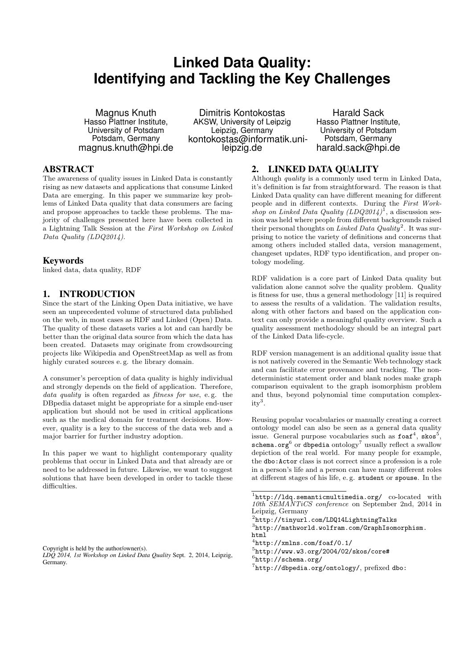# **Linked Data Quality: Identifying and Tackling the Key Challenges**

Magnus Knuth Hasso Plattner Institute, University of Potsdam Potsdam, Germany magnus.knuth@hpi.de

Dimitris Kontokostas AKSW, University of Leipzig Leipzig, Germany kontokostas@informatik.unileipzig.de

Harald Sack Hasso Plattner Institute, University of Potsdam Potsdam, Germany harald.sack@hpi.de

#### ABSTRACT

The awareness of quality issues in Linked Data is constantly rising as new datasets and applications that consume Linked Data are emerging. In this paper we summarize key problems of Linked Data quality that data consumers are facing and propose approaches to tackle these problems. The majority of challenges presented here have been collected in a Lightning Talk Session at the First Workshop on Linked Data Quality (LDQ2014).

#### Keywords

linked data, data quality, RDF

#### 1. INTRODUCTION

Since the start of the Linking Open Data initiative, we have seen an unprecedented volume of structured data published on the web, in most cases as RDF and Linked (Open) Data. The quality of these datasets varies a lot and can hardly be better than the original data source from which the data has been created. Datasets may originate from crowdsourcing projects like Wikipedia and OpenStreetMap as well as from highly curated sources e. g. the library domain.

A consumer's perception of data quality is highly individual and strongly depends on the field of application. Therefore, data quality is often regarded as *fitness for use*, e.g. the DBpedia dataset might be appropriate for a simple end-user application but should not be used in critical applications such as the medical domain for treatment decisions. However, quality is a key to the success of the data web and a major barrier for further industry adoption.

In this paper we want to highlight contemporary quality problems that occur in Linked Data and that already are or need to be addressed in future. Likewise, we want to suggest solutions that have been developed in order to tackle these difficulties.

# 2. LINKED DATA QUALITY

Although quality is a commonly used term in Linked Data, it's definition is far from straightforward. The reason is that Linked Data quality can have different meaning for different people and in different contexts. During the First Workshop on Linked Data Quality  $(LDQ2014)^1$ , a discussion session was held where people from different backgrounds raised their personal thoughts on *Linked Data Quality*<sup>2</sup>. It was surprising to notice the variety of definitions and concerns that among others included stalled data, version management, changeset updates, RDF typo identification, and proper ontology modeling.

RDF validation is a core part of Linked Data quality but validation alone cannot solve the quality problem. Quality is fitness for use, thus a general methodology [11] is required to assess the results of a validation. The validation results, along with other factors and based on the application context can only provide a meaningful quality overview. Such a quality assessment methodology should be an integral part of the Linked Data life-cycle.

RDF version management is an additional quality issue that is not natively covered in the Semantic Web technology stack and can facilitate error provenance and tracking. The nondeterministic statement order and blank nodes make graph comparison equivalent to the graph isomorphism problem and thus, beyond polynomial time computation complex $ity<sup>3</sup>$ .

Reusing popular vocabularies or manually creating a correct ontology model can also be seen as a general data quality issue. General purpose vocabularies such as  $f \circ af^4$ , skos<sup>5</sup>, schema.org $^6$  or dbpedia ontology<sup>7</sup> usually reflect a swallow depiction of the real world. For many people for example, the dbo:Actor class is not correct since a profession is a role in a person's life and a person can have many different roles at different stages of his life, e. g. student or spouse. In the

- 5 http://www.w3.org/2004/02/skos/core#
- $<sup>6</sup>$ http://schema.org/</sup>

Copyright is held by the author/owner(s).

*LDQ 2014, 1st Workshop on Linked Data Quality* Sept. 2, 2014, Leipzig, Germany.

<sup>1</sup> http://ldq.semanticmultimedia.org/ co-located with 10th SEMANTiCS conference on September 2nd, 2014 in Leipzig, Germany

<sup>2</sup> http://tinyurl.com/LDQ14LightningTalks

<sup>3</sup> http://mathworld.wolfram.com/GraphIsomorphism. html

 $4$ http://xmlns.com/foaf/0.1/

<sup>7</sup> http://dbpedia.org/ontology/, prefixed dbo: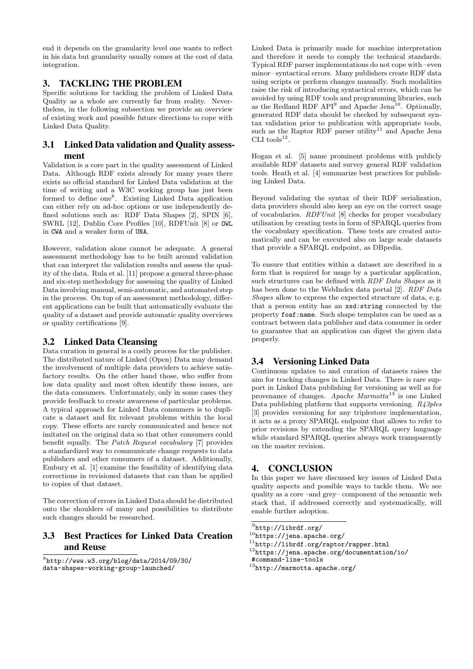end it depends on the granularity level one wants to reflect in his data but granularity usually comes at the cost of data integration.

### 3. TACKLING THE PROBLEM

Specific solutions for tackling the problem of Linked Data Quality as a whole are currently far from reality. Nevertheless, in the following subsection we provide an overview of existing work and possible future directions to cope with Linked Data Quality.

# 3.1 Linked Data validation and Quality assessment

Validation is a core part in the quality assessment of Linked Data. Although RDF exists already for many years there exists no official standard for Linked Data validation at the time of writing and a W3C working group has just been formed to define one<sup>8</sup>. Existing Linked Data application can either rely on ad-hoc options or use independently defined solutions such as: RDF Data Shapes [2], SPIN [6], SWRL [12], Dublin Core Profiles [10], RDFUnit [8] or OWL in CWA and a weaker form of UNA.

However, validation alone cannot be adequate. A general assessment methodology has to be built around validation that can interpret the validation results and assess the quality of the data. Rula et al. [11] propose a general three-phase and six-step methodology for assessing the quality of Linked Data involving manual, semi-automatic, and automated step in the process. On top of an assessment methodology, different applications can be built that automatically evaluate the quality of a dataset and provide automatic quality overviews or quality certifications [9].

# 3.2 Linked Data Cleansing

Data curation in general is a costly process for the publisher. The distributed nature of Linked (Open) Data may demand the involvement of multiple data providers to achieve satisfactory results. On the other hand those, who suffer from low data quality and most often identify these issues, are the data consumers. Unfortunately, only in some cases they provide feedback to create awareness of particular problems. A typical approach for Linked Data consumers is to duplicate a dataset and fix relevant problems within the local copy. These efforts are rarely communicated and hence not imitated on the original data so that other consumers could benefit equally. The Patch Request vocabulary [7] provides a standardized way to communicate change requests to data publishers and other consumers of a dataset. Additionally, Embury et al. [1] examine the feasibility of identifying data corrections in revisioned datasets that can than be applied to copies of that dataset.

The correction of errors in Linked Data should be distributed onto the shoulders of many and possibilities to distribute such changes should be researched.

### 3.3 Best Practices for Linked Data Creation and Reuse

 $8$ http://www.w3.org/blog/data/2014/09/30/ data-shapes-working-group-launched/

Linked Data is primarily made for machine interpretation and therefore it needs to comply the technical standards. Typical RDF parser implementations do not cope with –even minor– syntactical errors. Many publishers create RDF data using scripts or perform changes manually. Such modalities raise the risk of introducing syntactical errors, which can be avoided by using RDF tools and programming libraries, such as the Redland RDF  $API<sup>9</sup>$  and Apache Jena<sup>10</sup>. Optionally, generated RDF data should be checked by subsequent syntax validation prior to publication with appropriate tools, such as the Raptor RDF parser utility<sup>11</sup> and Apache Jena CLI tools<sup>12</sup> .

Hogan et al. [5] name prominent problems with publicly available RDF datasets and survey general RDF validation tools. Heath et al. [4] summarize best practices for publishing Linked Data.

Beyond validating the syntax of their RDF serialization, data providers should also keep an eye on the correct usage of vocabularies. RDFUnit [8] checks for proper vocabulary utilisation by creating tests in form of SPARQL queries from the vocabulary specification. These tests are created automatically and can be executed also on large scale datasets that provide a SPARQL endpoint, as DBpedia.

To ensure that entities within a dataset are described in a form that is required for usage by a particular application, such structures can be defined with RDF Data Shapes as it has been done to the WebIndex data portal [2]. RDF Data Shapes allow to express the expected structure of data, e. g. that a person entity has an xsd:string connected by the property foaf:name. Such shape templates can be used as a contract between data publisher and data consumer in order to guarantee that an application can digest the given data properly.

# 3.4 Versioning Linked Data

Continuous updates to and curation of datasets raises the aim for tracking changes in Linked Data. There is rare support in Linked Data publishing for versioning as well as for provenance of changes. Apache Marmotta<sup>13</sup> is one Linked Data publishing platform that supports versioning. R43ples [3] provides versioning for any triplestore implementation, it acts as a proxy SPARQL endpoint that allows to refer to prior revisions by extending the SPARQL query language while standard SPARQL queries always work transparently on the master revision.

# 4. CONCLUSION

In this paper we have discussed key issues of Linked Data quality aspects and possible ways to tackle them. We see quality as a core –and grey– component of the semantic web stack that, if addressed correctly and systematically, will enable further adoption.

 $13$ http://marmotta.apache.org/

<sup>9</sup> http://librdf.org/

 $^{\rm 10}$  https://jena.apache.org/

<sup>1&</sup>lt;sup>1</sup>http://librdf.org/raptor/rapper.html

<sup>12</sup>https://jena.apache.org/documentation/io/

<sup>#</sup>command-line-tools